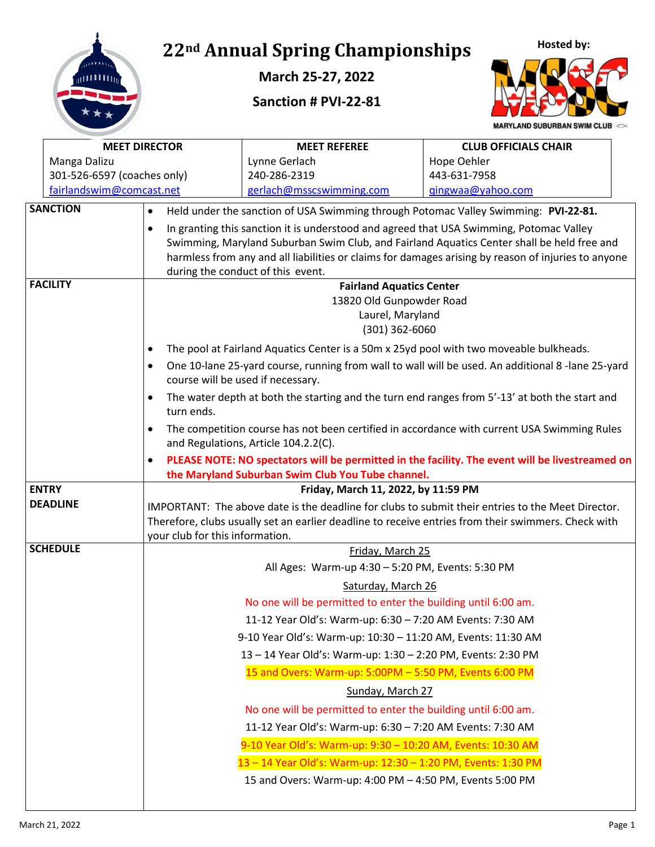

**March 25-27, 2022**

**Sanction # PVI-22-81**



**MARYLAND SUBURBAN SWIM CLUB** 

|  | <b>MEET DIRECTOR</b>        |                                                                                                                                                  | <b>MEET REFEREE</b>                                                                            | <b>CLUB OFFICIALS CHAIR</b>                                                                         |  |  |
|--|-----------------------------|--------------------------------------------------------------------------------------------------------------------------------------------------|------------------------------------------------------------------------------------------------|-----------------------------------------------------------------------------------------------------|--|--|
|  | Manga Dalizu                |                                                                                                                                                  | Lynne Gerlach                                                                                  | Hope Oehler                                                                                         |  |  |
|  | 301-526-6597 (coaches only) |                                                                                                                                                  | 240-286-2319                                                                                   | 443-631-7958                                                                                        |  |  |
|  | fairlandswim@comcast.net    |                                                                                                                                                  | gerlach@msscswimming.com                                                                       | gingwaa@yahoo.com                                                                                   |  |  |
|  | <b>SANCTION</b>             | $\bullet$                                                                                                                                        | Held under the sanction of USA Swimming through Potomac Valley Swimming: PVI-22-81.            |                                                                                                     |  |  |
|  |                             | $\bullet$                                                                                                                                        | In granting this sanction it is understood and agreed that USA Swimming, Potomac Valley        |                                                                                                     |  |  |
|  |                             |                                                                                                                                                  |                                                                                                | Swimming, Maryland Suburban Swim Club, and Fairland Aquatics Center shall be held free and          |  |  |
|  |                             |                                                                                                                                                  | during the conduct of this event.                                                              | harmless from any and all liabilities or claims for damages arising by reason of injuries to anyone |  |  |
|  | <b>FACILITY</b>             |                                                                                                                                                  | <b>Fairland Aquatics Center</b>                                                                |                                                                                                     |  |  |
|  |                             |                                                                                                                                                  | 13820 Old Gunpowder Road                                                                       |                                                                                                     |  |  |
|  |                             |                                                                                                                                                  | Laurel, Maryland                                                                               |                                                                                                     |  |  |
|  |                             |                                                                                                                                                  | $(301)$ 362-6060                                                                               |                                                                                                     |  |  |
|  |                             | $\bullet$                                                                                                                                        | The pool at Fairland Aquatics Center is a 50m x 25yd pool with two moveable bulkheads.         |                                                                                                     |  |  |
|  |                             | $\bullet$                                                                                                                                        | course will be used if necessary.                                                              | One 10-lane 25-yard course, running from wall to wall will be used. An additional 8 -lane 25-yard   |  |  |
|  |                             | $\bullet$<br>turn ends.                                                                                                                          | The water depth at both the starting and the turn end ranges from 5'-13' at both the start and |                                                                                                     |  |  |
|  |                             | The competition course has not been certified in accordance with current USA Swimming Rules<br>$\bullet$<br>and Regulations, Article 104.2.2(C). |                                                                                                |                                                                                                     |  |  |
|  |                             | $\bullet$                                                                                                                                        |                                                                                                | PLEASE NOTE: NO spectators will be permitted in the facility. The event will be livestreamed on     |  |  |
|  |                             |                                                                                                                                                  | the Maryland Suburban Swim Club You Tube channel.                                              |                                                                                                     |  |  |
|  | <b>ENTRY</b>                |                                                                                                                                                  | Friday, March 11, 2022, by 11:59 PM                                                            |                                                                                                     |  |  |
|  | <b>DEADLINE</b>             |                                                                                                                                                  |                                                                                                | IMPORTANT: The above date is the deadline for clubs to submit their entries to the Meet Director.   |  |  |
|  |                             |                                                                                                                                                  |                                                                                                | Therefore, clubs usually set an earlier deadline to receive entries from their swimmers. Check with |  |  |
|  | <b>SCHEDULE</b>             | your club for this information.                                                                                                                  | Friday, March 25                                                                               |                                                                                                     |  |  |
|  |                             |                                                                                                                                                  | All Ages: Warm-up 4:30 - 5:20 PM, Events: 5:30 PM                                              |                                                                                                     |  |  |
|  |                             |                                                                                                                                                  | Saturday, March 26                                                                             |                                                                                                     |  |  |
|  |                             |                                                                                                                                                  | No one will be permitted to enter the building until 6:00 am.                                  |                                                                                                     |  |  |
|  |                             |                                                                                                                                                  | 11-12 Year Old's: Warm-up: 6:30 - 7:20 AM Events: 7:30 AM                                      |                                                                                                     |  |  |
|  |                             |                                                                                                                                                  | 9-10 Year Old's: Warm-up: 10:30 - 11:20 AM, Events: 11:30 AM                                   |                                                                                                     |  |  |
|  |                             |                                                                                                                                                  | 13 - 14 Year Old's: Warm-up: 1:30 - 2:20 PM, Events: 2:30 PM                                   |                                                                                                     |  |  |
|  |                             |                                                                                                                                                  | 15 and Overs: Warm-up: 5:00PM - 5:50 PM, Events 6:00 PM                                        |                                                                                                     |  |  |
|  |                             |                                                                                                                                                  | Sunday, March 27                                                                               |                                                                                                     |  |  |
|  |                             |                                                                                                                                                  | No one will be permitted to enter the building until 6:00 am.                                  |                                                                                                     |  |  |
|  |                             |                                                                                                                                                  | 11-12 Year Old's: Warm-up: 6:30 - 7:20 AM Events: 7:30 AM                                      |                                                                                                     |  |  |
|  |                             |                                                                                                                                                  | 9-10 Year Old's: Warm-up: 9:30 - 10:20 AM, Events: 10:30 AM                                    |                                                                                                     |  |  |
|  |                             |                                                                                                                                                  | 13-14 Year Old's: Warm-up: 12:30-1:20 PM, Events: 1:30 PM                                      |                                                                                                     |  |  |
|  |                             |                                                                                                                                                  | 15 and Overs: Warm-up: 4:00 PM - 4:50 PM, Events 5:00 PM                                       |                                                                                                     |  |  |
|  |                             |                                                                                                                                                  |                                                                                                |                                                                                                     |  |  |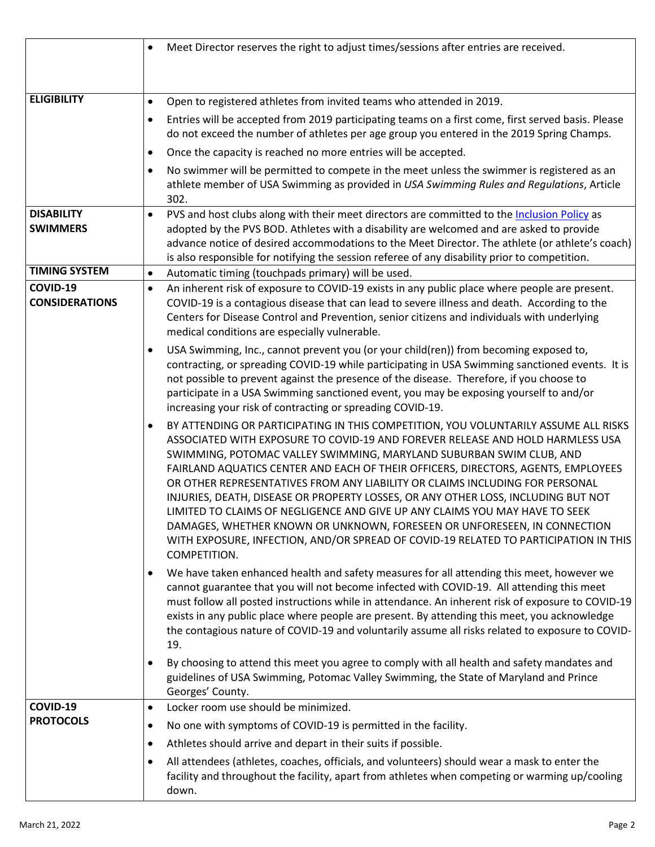|                                      | Meet Director reserves the right to adjust times/sessions after entries are received.<br>$\bullet$                                                                                                                                                                                                                                                                                                                                                                                                                                                                                                                                                                                                                                                                                     |  |  |  |
|--------------------------------------|----------------------------------------------------------------------------------------------------------------------------------------------------------------------------------------------------------------------------------------------------------------------------------------------------------------------------------------------------------------------------------------------------------------------------------------------------------------------------------------------------------------------------------------------------------------------------------------------------------------------------------------------------------------------------------------------------------------------------------------------------------------------------------------|--|--|--|
|                                      |                                                                                                                                                                                                                                                                                                                                                                                                                                                                                                                                                                                                                                                                                                                                                                                        |  |  |  |
|                                      |                                                                                                                                                                                                                                                                                                                                                                                                                                                                                                                                                                                                                                                                                                                                                                                        |  |  |  |
| <b>ELIGIBILITY</b>                   | Open to registered athletes from invited teams who attended in 2019.<br>$\bullet$                                                                                                                                                                                                                                                                                                                                                                                                                                                                                                                                                                                                                                                                                                      |  |  |  |
|                                      | Entries will be accepted from 2019 participating teams on a first come, first served basis. Please<br>$\bullet$<br>do not exceed the number of athletes per age group you entered in the 2019 Spring Champs.                                                                                                                                                                                                                                                                                                                                                                                                                                                                                                                                                                           |  |  |  |
|                                      | Once the capacity is reached no more entries will be accepted.<br>$\bullet$                                                                                                                                                                                                                                                                                                                                                                                                                                                                                                                                                                                                                                                                                                            |  |  |  |
|                                      | No swimmer will be permitted to compete in the meet unless the swimmer is registered as an<br>$\bullet$<br>athlete member of USA Swimming as provided in USA Swimming Rules and Regulations, Article<br>302.                                                                                                                                                                                                                                                                                                                                                                                                                                                                                                                                                                           |  |  |  |
| <b>DISABILITY</b><br><b>SWIMMERS</b> | PVS and host clubs along with their meet directors are committed to the Inclusion Policy as<br>$\bullet$<br>adopted by the PVS BOD. Athletes with a disability are welcomed and are asked to provide<br>advance notice of desired accommodations to the Meet Director. The athlete (or athlete's coach)<br>is also responsible for notifying the session referee of any disability prior to competition.                                                                                                                                                                                                                                                                                                                                                                               |  |  |  |
| <b>TIMING SYSTEM</b>                 | Automatic timing (touchpads primary) will be used.<br>$\bullet$                                                                                                                                                                                                                                                                                                                                                                                                                                                                                                                                                                                                                                                                                                                        |  |  |  |
| COVID-19<br><b>CONSIDERATIONS</b>    | An inherent risk of exposure to COVID-19 exists in any public place where people are present.<br>$\bullet$<br>COVID-19 is a contagious disease that can lead to severe illness and death. According to the<br>Centers for Disease Control and Prevention, senior citizens and individuals with underlying<br>medical conditions are especially vulnerable.                                                                                                                                                                                                                                                                                                                                                                                                                             |  |  |  |
|                                      | USA Swimming, Inc., cannot prevent you (or your child(ren)) from becoming exposed to,<br>$\bullet$<br>contracting, or spreading COVID-19 while participating in USA Swimming sanctioned events. It is<br>not possible to prevent against the presence of the disease. Therefore, if you choose to<br>participate in a USA Swimming sanctioned event, you may be exposing yourself to and/or<br>increasing your risk of contracting or spreading COVID-19.                                                                                                                                                                                                                                                                                                                              |  |  |  |
|                                      | BY ATTENDING OR PARTICIPATING IN THIS COMPETITION, YOU VOLUNTARILY ASSUME ALL RISKS<br>$\bullet$<br>ASSOCIATED WITH EXPOSURE TO COVID-19 AND FOREVER RELEASE AND HOLD HARMLESS USA<br>SWIMMING, POTOMAC VALLEY SWIMMING, MARYLAND SUBURBAN SWIM CLUB, AND<br>FAIRLAND AQUATICS CENTER AND EACH OF THEIR OFFICERS, DIRECTORS, AGENTS, EMPLOYEES<br>OR OTHER REPRESENTATIVES FROM ANY LIABILITY OR CLAIMS INCLUDING FOR PERSONAL<br>INJURIES, DEATH, DISEASE OR PROPERTY LOSSES, OR ANY OTHER LOSS, INCLUDING BUT NOT<br>LIMITED TO CLAIMS OF NEGLIGENCE AND GIVE UP ANY CLAIMS YOU MAY HAVE TO SEEK<br>DAMAGES, WHETHER KNOWN OR UNKNOWN, FORESEEN OR UNFORESEEN, IN CONNECTION<br>WITH EXPOSURE, INFECTION, AND/OR SPREAD OF COVID-19 RELATED TO PARTICIPATION IN THIS<br>COMPETITION. |  |  |  |
|                                      | We have taken enhanced health and safety measures for all attending this meet, however we<br>$\bullet$<br>cannot guarantee that you will not become infected with COVID-19. All attending this meet<br>must follow all posted instructions while in attendance. An inherent risk of exposure to COVID-19<br>exists in any public place where people are present. By attending this meet, you acknowledge<br>the contagious nature of COVID-19 and voluntarily assume all risks related to exposure to COVID-<br>19.                                                                                                                                                                                                                                                                    |  |  |  |
|                                      | By choosing to attend this meet you agree to comply with all health and safety mandates and<br>$\bullet$<br>guidelines of USA Swimming, Potomac Valley Swimming, the State of Maryland and Prince<br>Georges' County.                                                                                                                                                                                                                                                                                                                                                                                                                                                                                                                                                                  |  |  |  |
| COVID-19                             | Locker room use should be minimized.<br>$\bullet$                                                                                                                                                                                                                                                                                                                                                                                                                                                                                                                                                                                                                                                                                                                                      |  |  |  |
| <b>PROTOCOLS</b>                     | No one with symptoms of COVID-19 is permitted in the facility.<br>$\bullet$                                                                                                                                                                                                                                                                                                                                                                                                                                                                                                                                                                                                                                                                                                            |  |  |  |
|                                      | Athletes should arrive and depart in their suits if possible.<br>$\bullet$                                                                                                                                                                                                                                                                                                                                                                                                                                                                                                                                                                                                                                                                                                             |  |  |  |
|                                      | All attendees (athletes, coaches, officials, and volunteers) should wear a mask to enter the<br>$\bullet$<br>facility and throughout the facility, apart from athletes when competing or warming up/cooling<br>down.                                                                                                                                                                                                                                                                                                                                                                                                                                                                                                                                                                   |  |  |  |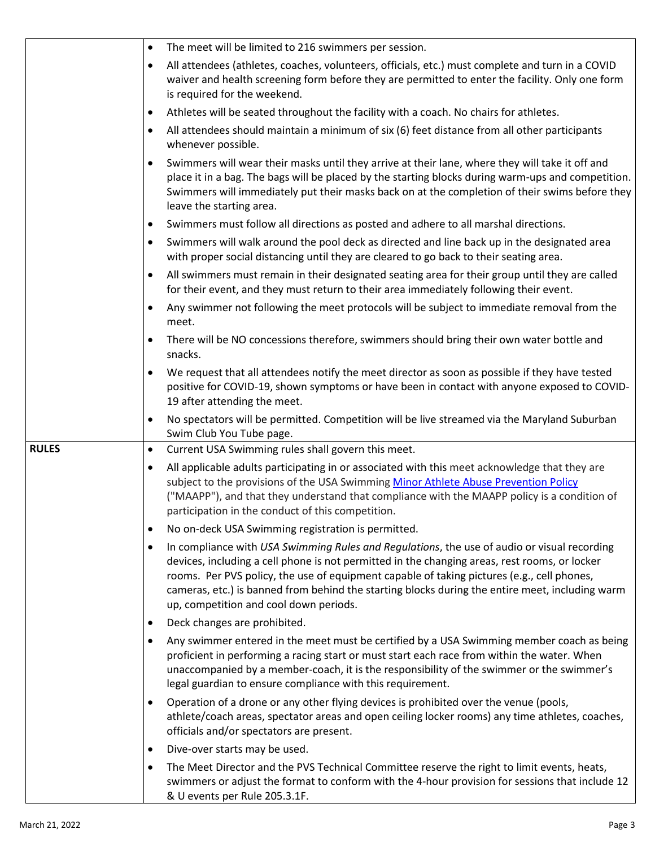|              | $\bullet$ | The meet will be limited to 216 swimmers per session.                                                                                                                                                                                                                                                                                                                                                                                   |
|--------------|-----------|-----------------------------------------------------------------------------------------------------------------------------------------------------------------------------------------------------------------------------------------------------------------------------------------------------------------------------------------------------------------------------------------------------------------------------------------|
|              | ٠         | All attendees (athletes, coaches, volunteers, officials, etc.) must complete and turn in a COVID<br>waiver and health screening form before they are permitted to enter the facility. Only one form<br>is required for the weekend.                                                                                                                                                                                                     |
|              | ٠         | Athletes will be seated throughout the facility with a coach. No chairs for athletes.                                                                                                                                                                                                                                                                                                                                                   |
|              | $\bullet$ | All attendees should maintain a minimum of six (6) feet distance from all other participants<br>whenever possible.                                                                                                                                                                                                                                                                                                                      |
|              | ٠         | Swimmers will wear their masks until they arrive at their lane, where they will take it off and<br>place it in a bag. The bags will be placed by the starting blocks during warm-ups and competition.<br>Swimmers will immediately put their masks back on at the completion of their swims before they<br>leave the starting area.                                                                                                     |
|              |           | Swimmers must follow all directions as posted and adhere to all marshal directions.                                                                                                                                                                                                                                                                                                                                                     |
|              | $\bullet$ | Swimmers will walk around the pool deck as directed and line back up in the designated area<br>with proper social distancing until they are cleared to go back to their seating area.                                                                                                                                                                                                                                                   |
|              | $\bullet$ | All swimmers must remain in their designated seating area for their group until they are called<br>for their event, and they must return to their area immediately following their event.                                                                                                                                                                                                                                               |
|              | ٠         | Any swimmer not following the meet protocols will be subject to immediate removal from the<br>meet.                                                                                                                                                                                                                                                                                                                                     |
|              | ٠         | There will be NO concessions therefore, swimmers should bring their own water bottle and<br>snacks.                                                                                                                                                                                                                                                                                                                                     |
|              | ٠         | We request that all attendees notify the meet director as soon as possible if they have tested<br>positive for COVID-19, shown symptoms or have been in contact with anyone exposed to COVID-<br>19 after attending the meet.                                                                                                                                                                                                           |
|              | ٠         | No spectators will be permitted. Competition will be live streamed via the Maryland Suburban<br>Swim Club You Tube page.                                                                                                                                                                                                                                                                                                                |
| <b>RULES</b> | ٠         | Current USA Swimming rules shall govern this meet.                                                                                                                                                                                                                                                                                                                                                                                      |
|              | $\bullet$ | All applicable adults participating in or associated with this meet acknowledge that they are<br>subject to the provisions of the USA Swimming Minor Athlete Abuse Prevention Policy<br>("MAAPP"), and that they understand that compliance with the MAAPP policy is a condition of<br>participation in the conduct of this competition.                                                                                                |
|              | ٠         | No on-deck USA Swimming registration is permitted.                                                                                                                                                                                                                                                                                                                                                                                      |
|              | ٠         | In compliance with USA Swimming Rules and Regulations, the use of audio or visual recording<br>devices, including a cell phone is not permitted in the changing areas, rest rooms, or locker<br>rooms. Per PVS policy, the use of equipment capable of taking pictures (e.g., cell phones,<br>cameras, etc.) is banned from behind the starting blocks during the entire meet, including warm<br>up, competition and cool down periods. |
|              | ٠         | Deck changes are prohibited.                                                                                                                                                                                                                                                                                                                                                                                                            |
|              | ٠         | Any swimmer entered in the meet must be certified by a USA Swimming member coach as being<br>proficient in performing a racing start or must start each race from within the water. When<br>unaccompanied by a member-coach, it is the responsibility of the swimmer or the swimmer's<br>legal guardian to ensure compliance with this requirement.                                                                                     |
|              | ٠         | Operation of a drone or any other flying devices is prohibited over the venue (pools,<br>athlete/coach areas, spectator areas and open ceiling locker rooms) any time athletes, coaches,<br>officials and/or spectators are present.                                                                                                                                                                                                    |
|              | ٠         | Dive-over starts may be used.                                                                                                                                                                                                                                                                                                                                                                                                           |
|              | $\bullet$ | The Meet Director and the PVS Technical Committee reserve the right to limit events, heats,<br>swimmers or adjust the format to conform with the 4-hour provision for sessions that include 12<br>& U events per Rule 205.3.1F.                                                                                                                                                                                                         |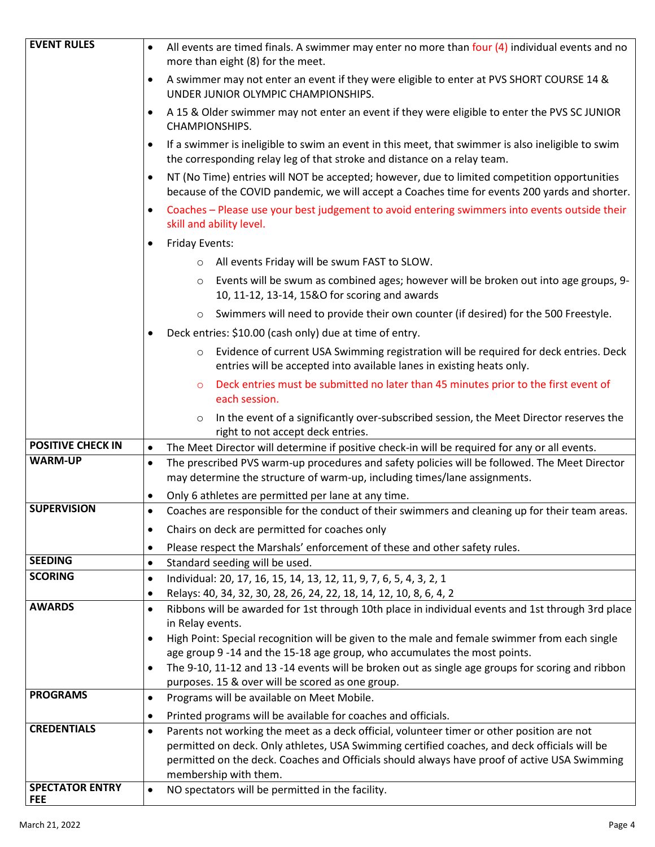| <b>EVENT RULES</b>       | All events are timed finals. A swimmer may enter no more than four $(4)$ individual events and no<br>$\bullet$                                                                                      |
|--------------------------|-----------------------------------------------------------------------------------------------------------------------------------------------------------------------------------------------------|
|                          | more than eight (8) for the meet.                                                                                                                                                                   |
|                          | A swimmer may not enter an event if they were eligible to enter at PVS SHORT COURSE 14 &<br>$\bullet$<br>UNDER JUNIOR OLYMPIC CHAMPIONSHIPS.                                                        |
|                          | A 15 & Older swimmer may not enter an event if they were eligible to enter the PVS SC JUNIOR<br>$\bullet$<br>CHAMPIONSHIPS.                                                                         |
|                          | If a swimmer is ineligible to swim an event in this meet, that swimmer is also ineligible to swim<br>the corresponding relay leg of that stroke and distance on a relay team.                       |
|                          | NT (No Time) entries will NOT be accepted; however, due to limited competition opportunities<br>٠<br>because of the COVID pandemic, we will accept a Coaches time for events 200 yards and shorter. |
|                          | Coaches - Please use your best judgement to avoid entering swimmers into events outside their<br>٠<br>skill and ability level.                                                                      |
|                          | <b>Friday Events:</b><br>٠                                                                                                                                                                          |
|                          | All events Friday will be swum FAST to SLOW.<br>$\circ$                                                                                                                                             |
|                          | Events will be swum as combined ages; however will be broken out into age groups, 9-<br>$\circ$<br>10, 11-12, 13-14, 15&O for scoring and awards                                                    |
|                          | Swimmers will need to provide their own counter (if desired) for the 500 Freestyle.<br>$\circ$                                                                                                      |
|                          | Deck entries: \$10.00 (cash only) due at time of entry.<br>$\bullet$                                                                                                                                |
|                          | Evidence of current USA Swimming registration will be required for deck entries. Deck<br>$\circ$                                                                                                    |
|                          | entries will be accepted into available lanes in existing heats only.                                                                                                                               |
|                          | Deck entries must be submitted no later than 45 minutes prior to the first event of<br>$\circ$<br>each session.                                                                                     |
|                          | In the event of a significantly over-subscribed session, the Meet Director reserves the<br>$\circ$<br>right to not accept deck entries.                                                             |
| <b>POSITIVE CHECK IN</b> | The Meet Director will determine if positive check-in will be required for any or all events.<br>$\bullet$                                                                                          |
| <b>WARM-UP</b>           | The prescribed PVS warm-up procedures and safety policies will be followed. The Meet Director<br>$\bullet$<br>may determine the structure of warm-up, including times/lane assignments.             |
|                          | Only 6 athletes are permitted per lane at any time.<br>٠                                                                                                                                            |
| <b>SUPERVISION</b>       | Coaches are responsible for the conduct of their swimmers and cleaning up for their team areas.<br>$\bullet$                                                                                        |
|                          | Chairs on deck are permitted for coaches only<br>٠                                                                                                                                                  |
|                          | Please respect the Marshals' enforcement of these and other safety rules.<br>$\bullet$                                                                                                              |
| <b>SEEDING</b>           | Standard seeding will be used.<br>$\bullet$                                                                                                                                                         |
| <b>SCORING</b>           | Individual: 20, 17, 16, 15, 14, 13, 12, 11, 9, 7, 6, 5, 4, 3, 2, 1<br>$\bullet$                                                                                                                     |
|                          | Relays: 40, 34, 32, 30, 28, 26, 24, 22, 18, 14, 12, 10, 8, 6, 4, 2<br>$\bullet$                                                                                                                     |
| <b>AWARDS</b>            | Ribbons will be awarded for 1st through 10th place in individual events and 1st through 3rd place<br>$\bullet$                                                                                      |
|                          | in Relay events.                                                                                                                                                                                    |
|                          | High Point: Special recognition will be given to the male and female swimmer from each single<br>$\bullet$<br>age group 9 -14 and the 15-18 age group, who accumulates the most points.             |
|                          | The 9-10, 11-12 and 13 -14 events will be broken out as single age groups for scoring and ribbon<br>$\bullet$                                                                                       |
|                          | purposes. 15 & over will be scored as one group.                                                                                                                                                    |
| <b>PROGRAMS</b>          | Programs will be available on Meet Mobile.<br>$\bullet$                                                                                                                                             |
|                          | Printed programs will be available for coaches and officials.<br>$\bullet$                                                                                                                          |
| <b>CREDENTIALS</b>       | Parents not working the meet as a deck official, volunteer timer or other position are not<br>$\bullet$                                                                                             |
|                          | permitted on deck. Only athletes, USA Swimming certified coaches, and deck officials will be                                                                                                        |
|                          | permitted on the deck. Coaches and Officials should always have proof of active USA Swimming                                                                                                        |
| <b>SPECTATOR ENTRY</b>   | membership with them.                                                                                                                                                                               |
| FEE                      | NO spectators will be permitted in the facility.<br>$\bullet$                                                                                                                                       |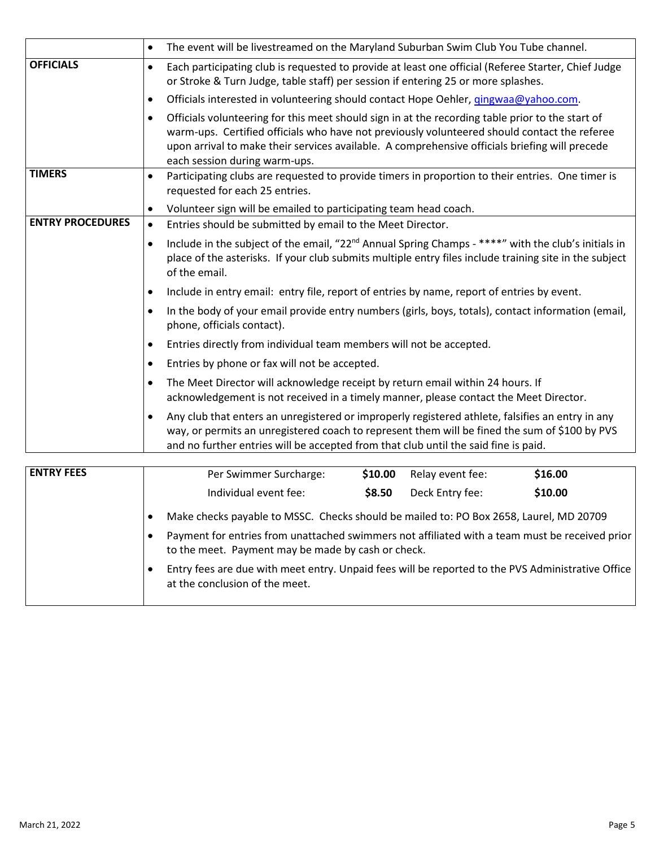|                         | The event will be livestreamed on the Maryland Suburban Swim Club You Tube channel.<br>$\bullet$                                                                                                                                                                                                                                                 |                                                                                     |         |  |  |  |  |
|-------------------------|--------------------------------------------------------------------------------------------------------------------------------------------------------------------------------------------------------------------------------------------------------------------------------------------------------------------------------------------------|-------------------------------------------------------------------------------------|---------|--|--|--|--|
| <b>OFFICIALS</b>        | Each participating club is requested to provide at least one official (Referee Starter, Chief Judge<br>$\bullet$<br>or Stroke & Turn Judge, table staff) per session if entering 25 or more splashes.                                                                                                                                            |                                                                                     |         |  |  |  |  |
|                         | $\bullet$                                                                                                                                                                                                                                                                                                                                        | Officials interested in volunteering should contact Hope Oehler, gingwaa@yahoo.com. |         |  |  |  |  |
|                         | Officials volunteering for this meet should sign in at the recording table prior to the start of<br>$\bullet$<br>warm-ups. Certified officials who have not previously volunteered should contact the referee<br>upon arrival to make their services available. A comprehensive officials briefing will precede<br>each session during warm-ups. |                                                                                     |         |  |  |  |  |
| <b>TIMERS</b>           | Participating clubs are requested to provide timers in proportion to their entries. One timer is<br>$\bullet$<br>requested for each 25 entries.                                                                                                                                                                                                  |                                                                                     |         |  |  |  |  |
|                         | $\bullet$                                                                                                                                                                                                                                                                                                                                        | Volunteer sign will be emailed to participating team head coach.                    |         |  |  |  |  |
| <b>ENTRY PROCEDURES</b> | Entries should be submitted by email to the Meet Director.<br>$\bullet$                                                                                                                                                                                                                                                                          |                                                                                     |         |  |  |  |  |
|                         | Include in the subject of the email, "22 <sup>nd</sup> Annual Spring Champs - ****" with the club's initials in<br>$\bullet$<br>place of the asterisks. If your club submits multiple entry files include training site in the subject<br>of the email.                                                                                          |                                                                                     |         |  |  |  |  |
|                         | Include in entry email: entry file, report of entries by name, report of entries by event.<br>$\bullet$                                                                                                                                                                                                                                          |                                                                                     |         |  |  |  |  |
|                         | In the body of your email provide entry numbers (girls, boys, totals), contact information (email,<br>$\bullet$<br>phone, officials contact).                                                                                                                                                                                                    |                                                                                     |         |  |  |  |  |
|                         | Entries directly from individual team members will not be accepted.<br>$\bullet$                                                                                                                                                                                                                                                                 |                                                                                     |         |  |  |  |  |
|                         | Entries by phone or fax will not be accepted.<br>$\bullet$                                                                                                                                                                                                                                                                                       |                                                                                     |         |  |  |  |  |
|                         | The Meet Director will acknowledge receipt by return email within 24 hours. If<br>$\bullet$<br>acknowledgement is not received in a timely manner, please contact the Meet Director.                                                                                                                                                             |                                                                                     |         |  |  |  |  |
|                         | Any club that enters an unregistered or improperly registered athlete, falsifies an entry in any<br>$\bullet$<br>way, or permits an unregistered coach to represent them will be fined the sum of \$100 by PVS<br>and no further entries will be accepted from that club until the said fine is paid.                                            |                                                                                     |         |  |  |  |  |
| <b>ENTRY FEES</b>       | Per Swimmer Surcharge:                                                                                                                                                                                                                                                                                                                           | \$10.00<br>Relay event fee:                                                         | \$16.00 |  |  |  |  |
|                         |                                                                                                                                                                                                                                                                                                                                                  |                                                                                     |         |  |  |  |  |
|                         | Individual event fee:                                                                                                                                                                                                                                                                                                                            | \$8.50<br>Deck Entry fee:                                                           | \$10.00 |  |  |  |  |

|  | Make checks payable to MSSC. Checks should be mailed to: PO Box 2658, Laurel, MD 20709 |  |  |  |  |
|--|----------------------------------------------------------------------------------------|--|--|--|--|
|  |                                                                                        |  |  |  |  |

• Payment for entries from unattached swimmers not affiliated with a team must be received prior to the meet. Payment may be made by cash or check.

• Entry fees are due with meet entry. Unpaid fees will be reported to the PVS Administrative Office at the conclusion of the meet.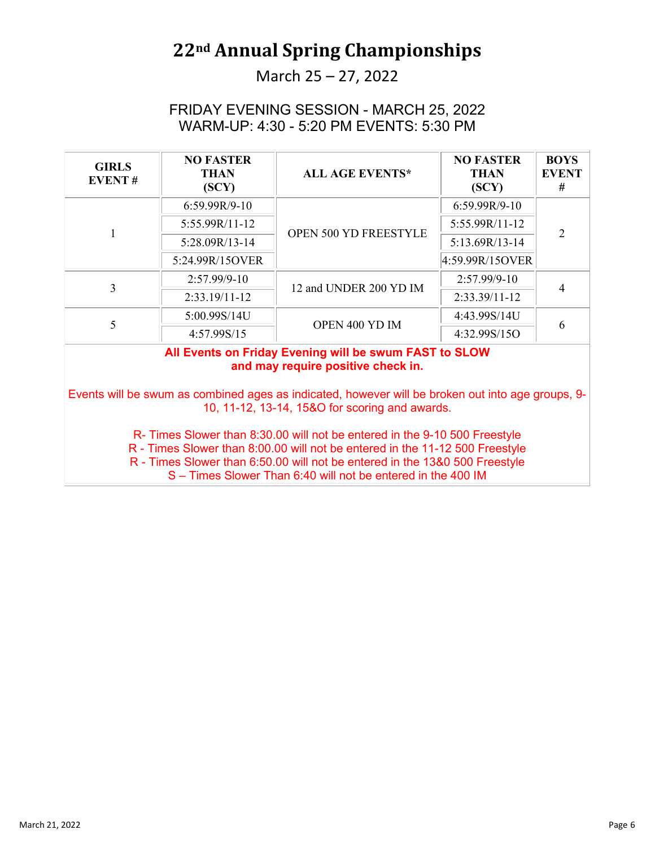#### March 25 – 27, 2022

#### FRIDAY EVENING SESSION - MARCH 25, 2022 WARM-UP: 4:30 - 5:20 PM EVENTS: 5:30 PM

| <b>GIRLS</b><br><b>EVENT#</b> | <b>NO FASTER</b><br><b>THAN</b><br>(SCY) | <b>ALL AGE EVENTS*</b>                                 | <b>NO FASTER</b><br><b>THAN</b><br>(SCY) | <b>BOYS</b><br><b>EVENT</b><br># |
|-------------------------------|------------------------------------------|--------------------------------------------------------|------------------------------------------|----------------------------------|
|                               | 6:59.99R/9-10                            |                                                        | $6:59.99R/9-10$                          | $\mathfrak{D}$                   |
|                               | 5:55.99R/11-12                           | OPEN 500 YD FREESTYLE                                  | 5:55.99R/11-12                           |                                  |
|                               | 5:28.09R/13-14                           |                                                        | 5:13.69R/13-14                           |                                  |
|                               | 5:24.99R/15OVER                          |                                                        | 4:59.99R/15OVER                          |                                  |
| 3                             | $2:57.99/9-10$                           | 12 and UNDER 200 YD IM                                 | $2:57.99/9-10$                           |                                  |
|                               | $2:33.19/11-12$                          |                                                        | 2:33.39/11-12                            |                                  |
| 5                             | 5:00.99S/14U                             | OPEN 400 YD IM                                         | 4:43.99S/14U                             | 6                                |
|                               | 4:57.99S/15                              |                                                        | 4:32.99S/15O                             |                                  |
|                               |                                          | All Events on Friday Evening will be swum EAST to SLOW |                                          |                                  |

#### **All Events on Friday Evening will be swum FAST to SLOW and may require positive check in.**

Events will be swum as combined ages as indicated, however will be broken out into age groups, 9- 10, 11-12, 13-14, 15&O for scoring and awards.

R- Times Slower than 8:30.00 will not be entered in the 9-10 500 Freestyle

R - Times Slower than 8:00.00 will not be entered in the 11-12 500 Freestyle

R - Times Slower than 6:50.00 will not be entered in the 13&0 500 Freestyle

S – Times Slower Than 6:40 will not be entered in the 400 IM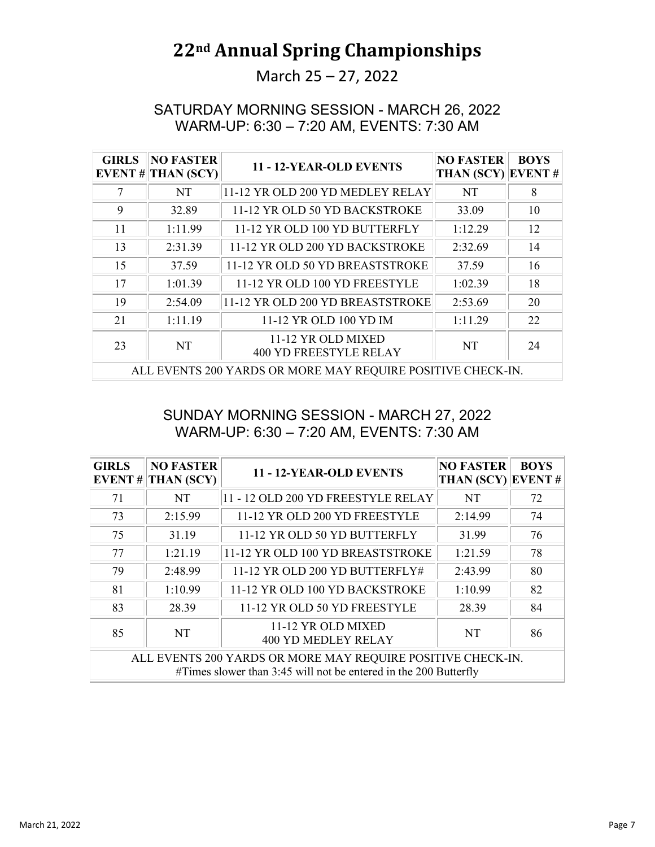### March 25 – 27, 2022

#### SATURDAY MORNING SESSION - MARCH 26, 2022 WARM-UP: 6:30 – 7:20 AM, EVENTS: 7:30 AM

| <b>GIRLS</b><br><b>EVENT#</b> | <b>NO FASTER</b><br><b>THAN (SCY)</b> | 11 - 12-YEAR-OLD EVENTS                                     | <b>NO FASTER</b><br>THAN (SCY) EVENT# | <b>BOYS</b> |
|-------------------------------|---------------------------------------|-------------------------------------------------------------|---------------------------------------|-------------|
|                               | NT.                                   | 11-12 YR OLD 200 YD MEDLEY RELAY                            | NT                                    | 8           |
| 9                             | 32.89                                 | 11-12 YR OLD 50 YD BACKSTROKE                               | 33.09                                 | 10          |
| 11                            | 1:11.99                               | 11-12 YR OLD 100 YD BUTTERFLY                               | 1:12.29                               | 12          |
| 13                            | 2:31.39                               | 11-12 YR OLD 200 YD BACKSTROKE                              | 2:32.69                               | 14          |
| 15                            | 37.59                                 | 11-12 YR OLD 50 YD BREASTSTROKE                             | 37.59                                 | 16          |
| 17                            | 1:01.39                               | 11-12 YR OLD 100 YD FREESTYLE                               | 1:02.39                               | 18          |
| 19                            | 2:54.09                               | 11-12 YR OLD 200 YD BREASTSTROKE                            | 2:53.69                               | 20          |
| 21                            | 1:11.19                               | 11-12 YR OLD 100 YD IM                                      | 1:11.29                               | 22          |
| 23                            | NT                                    | 11-12 YR OLD MIXED<br>400 YD FREESTYLE RELAY                | <b>NT</b>                             | 24          |
|                               |                                       | ALL EVENTS 200 YARDS OR MORE MAY REQUIRE POSITIVE CHECK-IN. |                                       |             |

#### SUNDAY MORNING SESSION - MARCH 27, 2022 WARM-UP: 6:30 – 7:20 AM, EVENTS: 7:30 AM

| <b>GIRLS</b>                                                                                                                    | <b>NO FASTER</b><br>EVENT # THAN (SCY) | 11 - 12-YEAR-OLD EVENTS                          | <b>NO FASTER</b><br>THAN (SCY) EVENT# | <b>BOYS</b> |  |
|---------------------------------------------------------------------------------------------------------------------------------|----------------------------------------|--------------------------------------------------|---------------------------------------|-------------|--|
| 71                                                                                                                              | NT                                     | 11 - 12 OLD 200 YD FREESTYLE RELAY               | NT                                    | 72          |  |
| 73                                                                                                                              | 2:15.99                                | 11-12 YR OLD 200 YD FREESTYLE                    | 2:14.99                               | 74          |  |
| 75                                                                                                                              | 31.19                                  | 11-12 YR OLD 50 YD BUTTERFLY                     | 31.99                                 | 76          |  |
| 77                                                                                                                              | 1:21.19                                | 11-12 YR OLD 100 YD BREASTSTROKE                 | 1:21.59                               | 78          |  |
| 79                                                                                                                              | 2:48.99                                | 11-12 YR OLD 200 YD BUTTERFLY#                   | 2:43.99                               | 80          |  |
| 81                                                                                                                              | 1:10.99                                | 11-12 YR OLD 100 YD BACKSTROKE                   | 1:10.99                               | 82          |  |
| 83                                                                                                                              | 28.39                                  | 11-12 YR OLD 50 YD FREESTYLE                     | 28.39                                 | 84          |  |
| 85                                                                                                                              | <b>NT</b>                              | 11-12 YR OLD MIXED<br><b>400 YD MEDLEY RELAY</b> | NT                                    | 86          |  |
| ALL EVENTS 200 YARDS OR MORE MAY REQUIRE POSITIVE CHECK-IN.<br>#Times slower than 3:45 will not be entered in the 200 Butterfly |                                        |                                                  |                                       |             |  |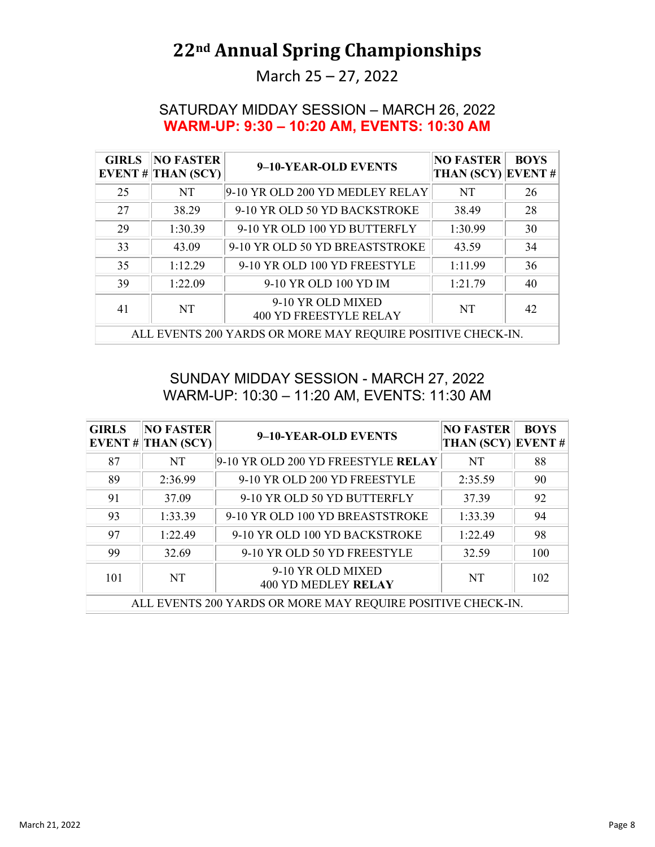March 25 – 27, 2022

#### SATURDAY MIDDAY SESSION – MARCH 26, 2022 **WARM-UP: 9:30 – 10:20 AM, EVENTS: 10:30 AM**

| <b>GIRLS</b> | <b>NO FASTER</b><br>EVENT # THAN $(SCY)$                    | 9-10-YEAR-OLD EVENTS                               | <b>NO FASTER</b><br><b>THAN (SCY)</b> | <b>BOYS</b><br>EVENT# |  |  |
|--------------|-------------------------------------------------------------|----------------------------------------------------|---------------------------------------|-----------------------|--|--|
| 25           | NT                                                          | 9-10 YR OLD 200 YD MEDLEY RELAY                    | <b>NT</b>                             | 26                    |  |  |
| 27           | 38.29                                                       | 9-10 YR OLD 50 YD BACKSTROKE                       | 38.49                                 | 28                    |  |  |
| 29           | 1:30.39                                                     | 9-10 YR OLD 100 YD BUTTERFLY                       | 1:30.99                               | 30                    |  |  |
| 33           | 43.09                                                       | 9-10 YR OLD 50 YD BREASTSTROKE                     | 43.59                                 | 34                    |  |  |
| 35           | 1:12.29                                                     | 9-10 YR OLD 100 YD FREESTYLE                       | 1:11.99                               | 36                    |  |  |
| 39           | 1:22.09                                                     | 9-10 YR OLD 100 YD IM                              | 1:21.79                               | 40                    |  |  |
| 41           | <b>NT</b>                                                   | 9-10 YR OLD MIXED<br><b>400 YD FREESTYLE RELAY</b> | <b>NT</b>                             | 42                    |  |  |
|              | ALL EVENTS 200 YARDS OR MORE MAY REQUIRE POSITIVE CHECK-IN. |                                                    |                                       |                       |  |  |

SUNDAY MIDDAY SESSION - MARCH 27, 2022 WARM-UP: 10:30 – 11:20 AM, EVENTS: 11:30 AM

| <b>GIRLS</b> | <b>NO FASTER</b><br>EVENT # THAN $(SCY)$ | 9-10-YEAR-OLD EVENTS                                        | <b>NO FASTER</b><br><b>THAN (SCY)</b> | <b>BOYS</b><br><b>EVENT#</b> |
|--------------|------------------------------------------|-------------------------------------------------------------|---------------------------------------|------------------------------|
| 87           | NT                                       | 9-10 YR OLD 200 YD FREESTYLE RELAY                          | NT                                    | 88                           |
| 89           | 2:36.99                                  | 9-10 YR OLD 200 YD FREESTYLE                                | 2:35.59                               | 90                           |
| 91           | 37.09                                    | 9-10 YR OLD 50 YD BUTTERFLY                                 | 37.39                                 | 92                           |
| 93           | 1:33.39                                  | 9-10 YR OLD 100 YD BREASTSTROKE                             | 1:33.39                               | 94                           |
| 97           | 1:22.49                                  | 9-10 YR OLD 100 YD BACKSTROKE                               | 1:22.49                               | 98                           |
| 99           | 32.69                                    | 9-10 YR OLD 50 YD FREESTYLE                                 | 32.59                                 | 100                          |
| 101          | NT                                       | 9-10 YR OLD MIXED<br><b>400 YD MEDLEY RELAY</b>             | <b>NT</b>                             | 102                          |
|              |                                          | ALL EVENTS 200 YARDS OR MORE MAY REQUIRE POSITIVE CHECK-IN. |                                       |                              |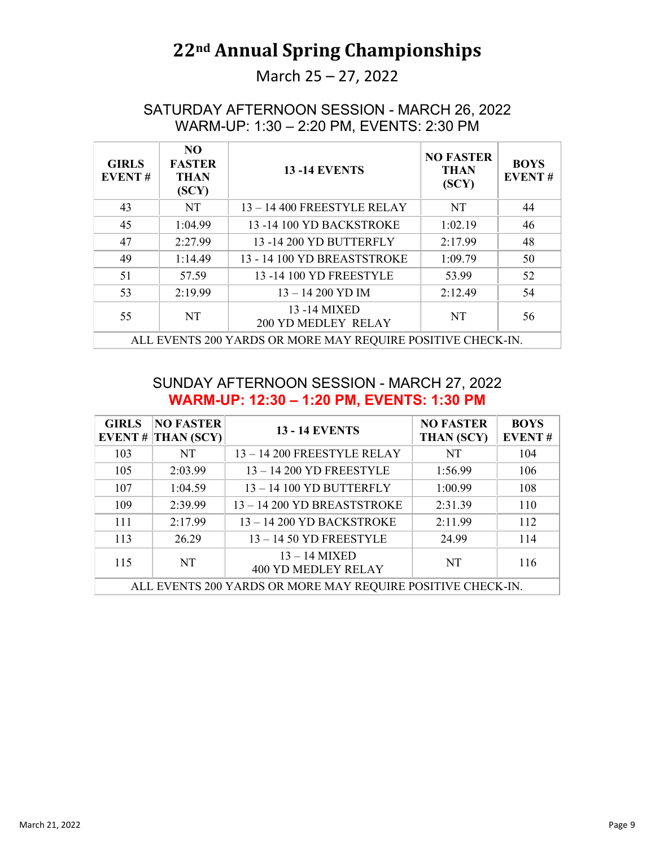March 25 – 27, 2022

SATURDAY AFTERNOON SESSION - MARCH 26, 2022 WARM-UP: 1:30 – 2:20 PM, EVENTS: 2:30 PM

| <b>GIRLS</b><br><b>EVENT#</b> | NO.<br><b>FASTER</b><br><b>THAN</b><br>(SCY)                | <b>13-14 EVENTS</b>                         | <b>NO FASTER</b><br><b>THAN</b><br>(SCY) | <b>BOYS</b><br><b>EVENT#</b> |  |  |  |
|-------------------------------|-------------------------------------------------------------|---------------------------------------------|------------------------------------------|------------------------------|--|--|--|
| 43                            | NT                                                          | $13 - 14$ 400 FREESTYLE RELAY               | NT                                       | 44                           |  |  |  |
| 45                            | 1:04.99                                                     | 13 - 14 100 YD BACKSTROKE                   | 1:02.19                                  | 46                           |  |  |  |
| 47                            | 2:27.99                                                     | 13 - 14 200 YD BUTTERFLY                    | 2:17.99                                  | 48                           |  |  |  |
| 49                            | 1:14.49                                                     | 13 - 14 100 YD BREASTSTROKE                 | 1:09.79                                  | 50                           |  |  |  |
| 51                            | 57.59                                                       | 13 - 14 100 YD FREESTYLE                    | 53.99                                    | 52                           |  |  |  |
| 53                            | 2:19.99                                                     | $13 - 14200$ YD IM                          | 2:12.49                                  | 54                           |  |  |  |
| 55                            | NT                                                          | 13 - 14 MIXED<br><b>200 YD MEDLEY RELAY</b> | NT                                       | 56                           |  |  |  |
|                               | ALL EVENTS 200 YARDS OR MORE MAY REQUIRE POSITIVE CHECK-IN. |                                             |                                          |                              |  |  |  |

#### SUNDAY AFTERNOON SESSION - MARCH 27, 2022 **WARM-UP: 12:30 – 1:20 PM, EVENTS: 1:30 PM**

| <b>GIRLS</b>                                                | <b>NO FASTER</b><br>EVENT # $ THAN (SCY) $ | <b>13 - 14 EVENTS</b>                         | <b>NO FASTER</b><br><b>THAN (SCY)</b> | <b>BOYS</b><br><b>EVENT#</b> |  |  |
|-------------------------------------------------------------|--------------------------------------------|-----------------------------------------------|---------------------------------------|------------------------------|--|--|
| 103                                                         | <b>NT</b>                                  | 13-14 200 FREESTYLE RELAY                     | NT                                    | 104                          |  |  |
| 105                                                         | 2:03.99                                    | 13-14 200 YD FREESTYLE                        | 1:56.99                               | 106                          |  |  |
| 107                                                         | 1:04.59                                    | 13-14 100 YD BUTTERFLY                        | 1:00.99                               | 108                          |  |  |
| 109                                                         | 2:39.99                                    | 13-14 200 YD BREASTSTROKE                     | 2:31.39                               | 110                          |  |  |
| 111                                                         | 2:17.99                                    | 13-14 200 YD BACKSTROKE                       | 2:11.99                               | 112                          |  |  |
| 113                                                         | 26.29                                      | $13 - 14$ 50 YD FREESTYLE                     | 24.99                                 | 114                          |  |  |
| 115                                                         | NT                                         | $13 - 14$ MIXED<br><b>400 YD MEDLEY RELAY</b> | <b>NT</b>                             | 116                          |  |  |
| ALL EVENTS 200 YARDS OR MORE MAY REQUIRE POSITIVE CHECK-IN. |                                            |                                               |                                       |                              |  |  |